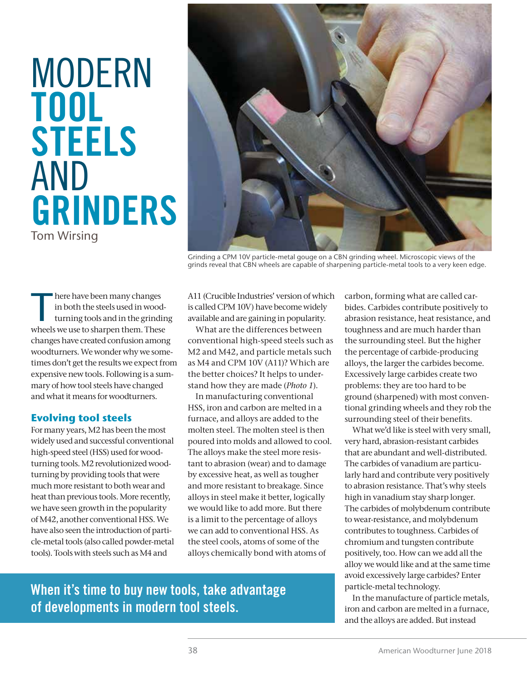# MODERN **TOOL STEELS** AND **GRINDERS** Tom Wirsing



Grinding a CPM 10V particle-metal gouge on a CBN grinding wheel. Microscopic views of the grinds reveal that CBN wheels are capable of sharpening particle-metal tools to a very keen edge.

There have been many changes<br>in both the steels used in wood<br>turning tools and in the grindi<br>wheels we use to sharpen them. These in both the steels used in woodturning tools and in the grinding wheels we use to sharpen them. These changes have created confusion among woodturners. We wonder why we sometimes don't get the results we expect from expensive new tools. Following is a summary of how tool steels have changed and what it means for woodturners.

#### **Evolving tool steels**

For many years, M2 has been the most widely used and successful conventional high-speed steel (HSS) used for woodturning tools. M2 revolutionized woodturning by providing tools that were much more resistant to both wear and heat than previous tools. More recently, we have seen growth in the popularity of M42, another conventional HSS. We have also seen the introduction of particle-metal tools (also called powder-metal tools). Tools with steels such as M4 and

A11 (Crucible Industries' version of which is called CPM 10V) have become widely available and are gaining in popularity.

What are the differences between conventional high-speed steels such as M2 and M42, and particle metals such as M4 and CPM 10V (A11)? Which are the better choices? It helps to understand how they are made (*Photo 1*).

In manufacturing conventional HSS, iron and carbon are melted in a furnace, and alloys are added to the molten steel. The molten steel is then poured into molds and allowed to cool. The alloys make the steel more resistant to abrasion (wear) and to damage by excessive heat, as well as tougher and more resistant to breakage. Since alloys in steel make it better, logically we would like to add more. But there is a limit to the percentage of alloys we can add to conventional HSS. As the steel cools, atoms of some of the alloys chemically bond with atoms of

carbon, forming what are called carbides. Carbides contribute positively to abrasion resistance, heat resistance, and toughness and are much harder than the surrounding steel. But the higher the percentage of carbide-producing alloys, the larger the carbides become. Excessively large carbides create two problems: they are too hard to be ground (sharpened) with most conventional grinding wheels and they rob the surrounding steel of their benefits.

What we'd like is steel with very small, very hard, abrasion-resistant carbides that are abundant and well-distributed. The carbides of vanadium are particularly hard and contribute very positively to abrasion resistance. That's why steels high in vanadium stay sharp longer. The carbides of molybdenum contribute to wear-resistance, and molybdenum contributes to toughness. Carbides of chromium and tungsten contribute positively, too. How can we add all the alloy we would like and at the same time avoid excessively large carbides? Enter particle-metal technology.

In the manufacture of particle metals, iron and carbon are melted in a furnace, and the alloys are added. But instead

### **When it's time to buy new tools, take advantage of developments in modern tool steels.**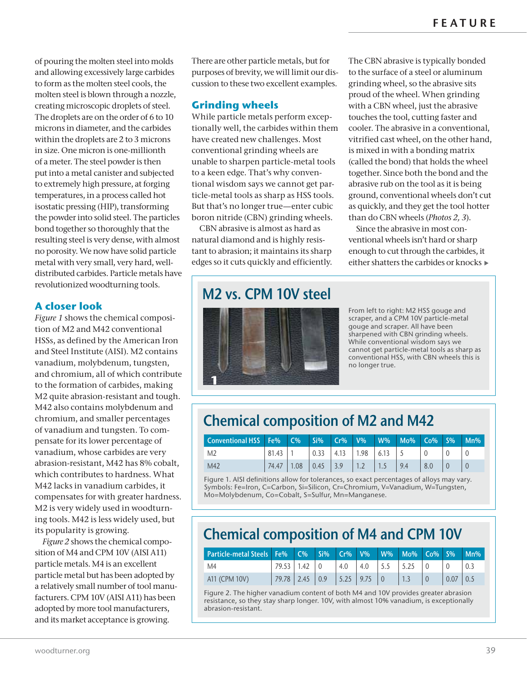The CBN abrasive is typically bonded to the surface of a steel or aluminum grinding wheel, so the abrasive sits proud of the wheel. When grinding with a CBN wheel, just the abrasive touches the tool, cutting faster and cooler. The abrasive in a conventional, vitrified cast wheel, on the other hand, is mixed in with a bonding matrix (called the bond) that holds the wheel together. Since both the bond and the abrasive rub on the tool as it is being ground, conventional wheels don't cut as quickly, and they get the tool hotter than do CBN wheels (*Photos 2, 3*). Since the abrasive in most conventional wheels isn't hard or sharp enough to cut through the carbides, it either shatters the carbides or knocks

of pouring the molten steel into molds and allowing excessively large carbides to form as the molten steel cools, the molten steel is blown through a nozzle, creating microscopic droplets of steel. The droplets are on the order of 6 to 10 microns in diameter, and the carbides within the droplets are 2 to 3 microns in size. One micron is one-millionth of a meter. The steel powder is then put into a metal canister and subjected to extremely high pressure, at forging temperatures, in a process called hot isostatic pressing (HIP), transforming the powder into solid steel. The particles bond together so thoroughly that the resulting steel is very dense, with almost no porosity. We now have solid particle metal with very small, very hard, welldistributed carbides. Particle metals have revolutionized woodturning tools.

#### **A closer look**

*Figure 1* shows the chemical composition of M2 and M42 conventional HSSs, as defined by the American Iron and Steel Institute (AISI). M2 contains vanadium, molybdenum, tungsten, and chromium, all of which contribute to the formation of carbides, making M2 quite abrasion-resistant and tough. M42 also contains molybdenum and chromium, and smaller percentages of vanadium and tungsten. To compensate for its lower percentage of vanadium, whose carbides are very abrasion-resistant, M42 has 8% cobalt, which contributes to hardness. What M42 lacks in vanadium carbides, it compensates for with greater hardness. M2 is very widely used in woodturning tools. M42 is less widely used, but its popularity is growing.

*Figure 2* shows the chemical composition of M4 and CPM 10V (AISI A11) particle metals. M4 is an excellent particle metal but has been adopted by a relatively small number of tool manufacturers. CPM 10V (AISI A11) has been adopted by more tool manufacturers, and its market acceptance is growing.

There are other particle metals, but for purposes of brevity, we will limit our discussion to these two excellent examples.

#### **Grinding wheels**

While particle metals perform exceptionally well, the carbides within them have created new challenges. Most conventional grinding wheels are unable to sharpen particle-metal tools to a keen edge. That's why conventional wisdom says we cannot get particle-metal tools as sharp as HSS tools. But that's no longer true—enter cubic boron nitride (CBN) grinding wheels.

CBN abrasive is almost as hard as natural diamond and is highly resistant to abrasion; it maintains its sharp edges so it cuts quickly and efficiently.

**M2 vs. CPM 10V steel**



From left to right: M2 HSS gouge and scraper, and a CPM 10V particle-metal gouge and scraper. All have been sharpened with CBN grinding wheels. While conventional wisdom says we cannot get particle-metal tools as sharp as conventional HSS, with CBN wheels this is no longer true.

## **Chemical composition of M2 and M42**

| Conventional HSS   Fe%   C%   Si%   Cr%   V%   W%   Mo%   Co%   S% |       |                                                       |  |     |     | $Mn\%$ |
|--------------------------------------------------------------------|-------|-------------------------------------------------------|--|-----|-----|--------|
| M <sub>2</sub>                                                     | 81.43 | $\vert 0.33 \vert 4.13 \vert 1.98 \vert 6.13 \vert 5$ |  |     |     |        |
| M42                                                                |       | $74.47$   1.08   0.45   3.9   1.2   1.5               |  | 9.4 | 8.0 |        |

Figure 1. AISI definitions allow for tolerances, so exact percentages of alloys may vary. Symbols: Fe=Iron, C=Carbon, Si=Silicon, Cr=Chromium, V=Vanadium, W=Tungsten, Mo=Molybdenum, Co=Cobalt, S=Sulfur, Mn=Manganese.

## **Chemical composition of M4 and CPM 10V**

| Particle-metal Steels Fe%   C%   Si%   Cr%   V%   W%   Mo%   Co%   S% |       |      |                   |                               |             |  |      | $Mn\%$ |
|-----------------------------------------------------------------------|-------|------|-------------------|-------------------------------|-------------|--|------|--------|
| M4                                                                    | 79.53 | 1.42 |                   | 4.0                           | $ 4.0 $ 5.5 |  |      |        |
| A11 (CPM 10V)                                                         | 79.78 | 2.45 | $\vert 0.9 \vert$ | $\vert 5.25 \vert 9.75 \vert$ |             |  | 0.07 |        |

Figure 2. The higher vanadium content of both M4 and 10V provides greater abrasion resistance, so they stay sharp longer. 10V, with almost 10% vanadium, is exceptionally abrasion-resistant.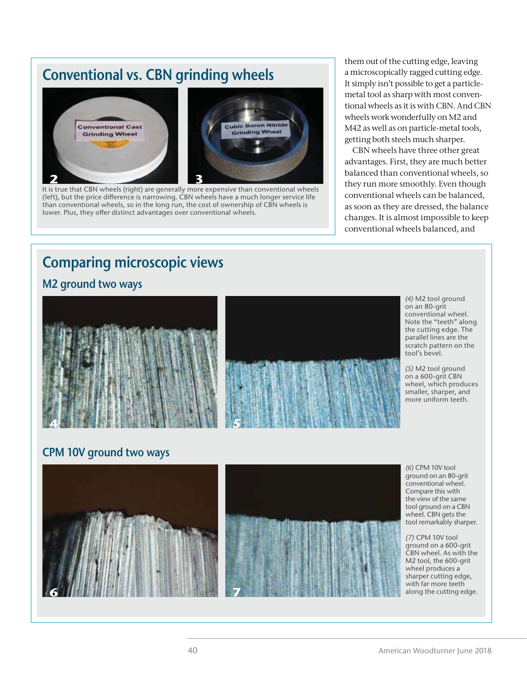## **Conventional vs. CBN grinding wheels**



(left), but the price difference is narrowing. CBN wheels have a much longer service life than conventional wheels, so in the long run, the cost of ownership of CBN wheels is lower. Plus, they offer distinct advantages over conventional wheels.

them out of the cutting edge, leaving a microscopically ragged cutting edge. It simply isn't possible to get a particlemetal tool as sharp with most conventional wheels as it is with CBN. And CBN wheels work wonderfully on M2 and M42 as well as on particle-metal tools, getting both steels much sharper.

CBN wheels have three other great advantages. First, they are much better balanced than conventional wheels, so they run more smoothly. Even though conventional wheels can be balanced, as soon as they are dressed, the balance changes. It is almost impossible to keep conventional wheels balanced, and

## **Comparing microscopic views**

#### **M2 ground two ways**





*(4)* M2 tool ground on an 80-grit conventional wheel. Note the "teeth" along the cutting edge. The parallel lines are the scratch pattern on the tool's bevel.

*(5)* M2 tool ground on a 600-grit CBN wheel, which produces smaller, sharper, and more uniform teeth.

### **CPM 10V ground two ways**



*(6)* CPM 10V tool ground on an 80-grit conventional wheel. Compare this with the view of the same tool ground on a CBN wheel. CBN gets the tool remarkably sharper.

*(7)* CPM 10V tool ground on a 600-grit CBN wheel. As with the M2 tool, the 600-grit wheel produces a sharper cutting edge, with far more teeth along the cutting edge.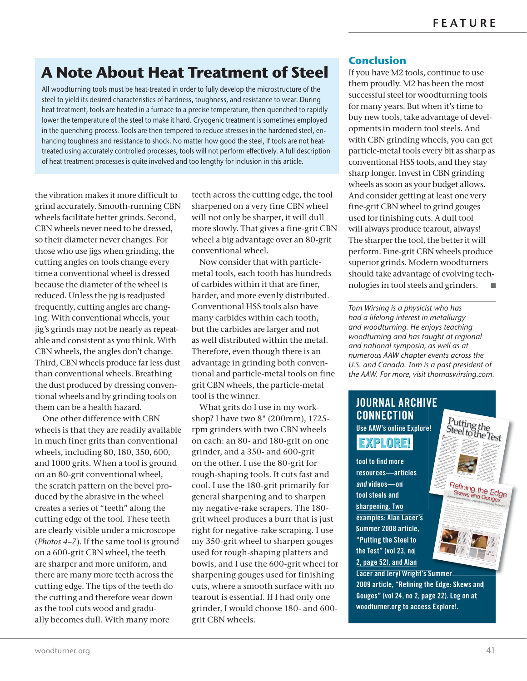## **A Note About Heat Treatment of Steel**

All woodturning tools must be heat-treated in order to fully develop the microstructure of the steel to yield its desired characteristics of hardness, toughness, and resistance to wear. During heat treatment, tools are heated in a furnace to a precise temperature, then quenched to rapidly lower the temperature of the steel to make it hard. Cryogenic treatment is sometimes employed in the quenching process. Tools are then tempered to reduce stresses in the hardened steel, enhancing toughness and resistance to shock. No matter how good the steel, if tools are not heattreated using accurately controlled processes, tools will not perform effectively. A full description of heat treatment processes is quite involved and too lengthy for inclusion in this article.

the vibration makes it more difficult to grind accurately. Smooth-running CBN wheels facilitate better grinds. Second, CBN wheels never need to be dressed, so their diameter never changes. For those who use jigs when grinding, the cutting angles on tools change every time a conventional wheel is dressed because the diameter of the wheel is reduced. Unless the jig is readjusted frequently, cutting angles are changing. With conventional wheels, your jig's grinds may not be nearly as repeatable and consistent as you think. With CBN wheels, the angles don't change. Third, CBN wheels produce far less dust than conventional wheels. Breathing the dust produced by dressing conventional wheels and by grinding tools on them can be a health hazard.

One other difference with CBN wheels is that they are readily available in much finer grits than conventional wheels, including 80, 180, 350, 600, and 1000 grits. When a tool is ground on an 80-grit conventional wheel, the scratch pattern on the bevel produced by the abrasive in the wheel creates a series of "teeth" along the cutting edge of the tool. These teeth are clearly visible under a microscope (*Photos 4–7*). If the same tool is ground on a 600-grit CBN wheel, the teeth are sharper and more uniform, and there are many more teeth across the cutting edge. The tips of the teeth do the cutting and therefore wear down as the tool cuts wood and gradually becomes dull. With many more

teeth across the cutting edge, the tool sharpened on a very fine CBN wheel will not only be sharper, it will dull more slowly. That gives a fine-grit CBN wheel a big advantage over an 80-grit conventional wheel.

Now consider that with particlemetal tools, each tooth has hundreds of carbides within it that are finer, harder, and more evenly distributed. Conventional HSS tools also have many carbides within each tooth, but the carbides are larger and not as well distributed within the metal. Therefore, even though there is an advantage in grinding both conventional and particle-metal tools on fine grit CBN wheels, the particle-metal tool is the winner.

What grits do I use in my workshop? I have two 8" (200mm), 1725 rpm grinders with two CBN wheels on each: an 80- and 180-grit on one grinder, and a 350- and 600-grit on the other. I use the 80-grit for rough-shaping tools. It cuts fast and cool. I use the 180-grit primarily for general sharpening and to sharpen my negative-rake scrapers. The 180 grit wheel produces a burr that is just right for negative-rake scraping. I use my 350-grit wheel to sharpen gouges used for rough-shaping platters and bowls, and I use the 600-grit wheel for sharpening gouges used for finishing cuts, where a smooth surface with no tearout is essential. If I had only one grinder, I would choose 180- and 600 grit CBN wheels.

#### **Conclusion**

If you have M2 tools, continue to use them proudly. M2 has been the most successful steel for woodturning tools for many years. But when it's time to buy new tools, take advantage of developments in modern tool steels. And with CBN grinding wheels, you can get particle-metal tools every bit as sharp as conventional HSS tools, and they stay sharp longer. Invest in CBN grinding wheels as soon as your budget allows. And consider getting at least one very fine-grit CBN wheel to grind gouges used for finishing cuts. A dull tool will always produce tearout, always! The sharper the tool, the better it will perform. Fine-grit CBN wheels produce superior grinds. Modern woodturners should take advantage of evolving technologies in tool steels and grinders.  $\mathcal{C}$ 

*Tom Wirsing is a physicist who has had a lifelong interest in metallurgy and woodturning. He enjoys teaching woodturning and has taught at regional and national symposia, as well as at numerous AAW chapter events across the U.S. and Canada. Tom is a past president of the AAW. For more, visit thomaswirsing.com.*

#### **JOURNAL ARCHIVE CONNECTION Use AAW's online Explore!**  $F = 100$

#### EXPLORE!

**tool to find more resources—articles and videos—on tool steels and sharpening. Two examples: Alan Lacer's Summer 2008 article, "Putting the Steel to the Test" (vol 23, no 2, page 52), and Alan**

**Lacer and Jeryl Wright's Summer 2009 article, "Refining the Edge: Skews and Gouges" (vol 24, no 2, page 22). Log on at woodturner.org to access Explore!. ummervely experience** 

*The Tunnel Suppose* 

I have heard many discussions and fielded a lot of interesting **Technology**<br>Young a ronangel way discussions and fielded a lot of interesting questions while<br>this hap heard many discussions and fielded a lot of interesting traveling amongst wood plains and legislati a lot of interview of the common assertion is the some steels of t<br>The some steels do compass on the some steels do not of interview do don't brown assertion is the some steels<br>t get as <sub>sh</sub>arp as sharp as sharp as the theory as the or there will all property and the sharper or the sharper or the<br>Day high carbon steel (HCS) tools get much sharper as the song much sharper as the song sharper as the  $\theta$  ban high speed steel (HSS) Another common view of the properties currently and the speed steel of the speed steel (HSS) to only and the speed steel (HSS) to only and the speed steel (HSS) to only and the speed steel waste of time: the burr  $\log_2$  time: According the strop of time: the burr will be a strop of time of time of t<br>To buy for the burr will be a strop off in the wood; however a so that honing the so much times so much time<br> it's inefaction to the community of the fice of the community of the community of the community of the communi<br>in community of the community of the community sharp to provide the community of the community of the communit<br>  $\alpha$ bout steel and honing are spoken as fact, not just opinion. My experiences as fact, not in the spoken as f<br> $\alpha$  and honing are spoken as factorizes as fact, not just opinion. My experiences<br>the spoken spoken as factor run counter to these view in counter an extent more to investig to interest the counter of the second to the s<br>The these rights in an opticalist, so I knew something more was need to involve to the second to interest to i<br> test these "facts" in an objective, so I knew somes

> Polishing flutes **To polish or refine the flute of a gouge, use a wheel made of MDF, shape that fits the profile of the flute. Coat the wheel with an emery stick. Work only the last 1" or so of the flute. The wheel should spin away**  (4A) **Gouge flute with milling marks (100X). after polishing (100X).**

Skews and Gouges<br> *Improve Turned Surfaces with Simple Sharpening Techniques*<br>
International Strategy Sharpening Techniques Refining the Edge<br>Skews and Go

Putting the<br>Steel to the Test

lent statements or entries or entries<br>lent statements or entries or entries or tificate may be punished as a felony Stork's process involved the cutting sured at three points on the sample to for a tool control as little as for as an<br>final cost little as for as for as an there are no legal definitions of HSS.<br>There are no legal definitions of HSS.  $\frac{1}{2}$  the E

carbon or HSS was with a spark test at the grinder. This test turned out not to

be foolproof, as some tools sparked as efining<br>Skove

**Refining the** 

**Sections of lathe tools embedded in composite materials and prepared for emission (spark) test.** 

to heat (whether in use of which have the second or work whether in work whether in the second or work where the second or work where the second or work where the second or work where the second or work where the second or Since the 1980s, the transition from

100 years, but is a relatively new steel for the woodturner. Al<sup>though</sup> state manufactured in Sheffield, England, dominated<br>Sheffield, dominated the tool market for decades, there has been  $\widetilde{\mathbb{R}}$  f Far East (primarily from China). This influx of inexpensive price of the English turning tools,

> Methods of honing **To place the bevel of a skew chisel correctly on a diamond hone, securely and use motion, starting at the back of the bevel. Move the hone to simultaneously touch the area just below the cutting edge back of the bevel. <sup>1</sup> The flute of a gouge must also be honed. The curved radius of a slipstone or a tapered diamond cone is held flat in the flute and worked with a backand-forth motion.**